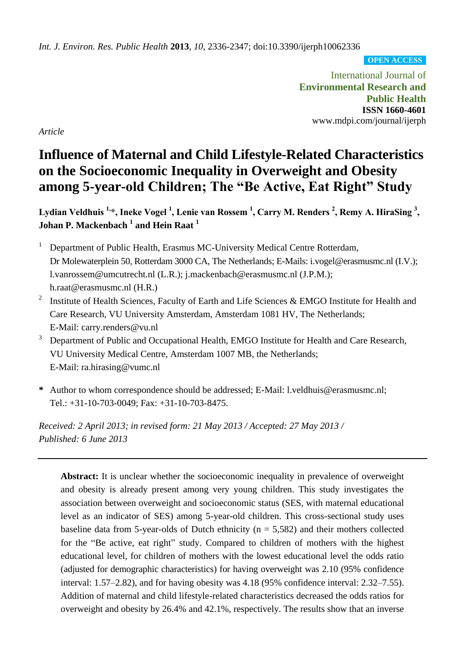*Int. J. Environ. Res. Public Health* **2013**, *10*, 2336-2347; doi:10.3390/ijerph10062336

**OPEN ACCESS**

International Journal of **Environmental Research and Public Health ISSN 1660-4601** www.mdpi.com/journal/ijerph

*Article*

# **Influence of Maternal and Child Lifestyle-Related Characteristics on the Socioeconomic Inequality in Overweight and Obesity among 5-year-old Children; The "Be Active, Eat Right" Study**

**Lydian Veldhuis 1,\*, Ineke Vogel <sup>1</sup> , Lenie van Rossem <sup>1</sup> , Carry M. Renders <sup>2</sup> , Remy A. HiraSing <sup>3</sup> , Johan P. Mackenbach <sup>1</sup> and Hein Raat <sup>1</sup>**

<sup>1</sup> Department of Public Health, Erasmus MC-University Medical Centre Rotterdam, Dr Molewaterplein 50, Rotterdam 3000 CA, The Netherlands; E-Mails: i.vogel@erasmusmc.nl (I.V.); l.vanrossem@umcutrecht.nl (L.R.); j.mackenbach@erasmusmc.nl (J.P.M.); h.raat@erasmusmc.nl (H.R.)

- 2 Institute of Health Sciences, Faculty of Earth and Life Sciences & EMGO Institute for Health and Care Research, VU University Amsterdam, Amsterdam 1081 HV, The Netherlands; E-Mail: carry.renders@vu.nl
- <sup>3</sup> Department of Public and Occupational Health, EMGO Institute for Health and Care Research, VU University Medical Centre, Amsterdam 1007 MB, the Netherlands; E-Mail: ra.hirasing@vumc.nl
- **\*** Author to whom correspondence should be addressed; E-Mail: l.veldhuis@erasmusmc.nl; Tel.: +31-10-703-0049; Fax: +31-10-703-8475.

*Received: 2 April 2013; in revised form: 21 May 2013 / Accepted: 27 May 2013 / Published: 6 June 2013*

**Abstract:** It is unclear whether the socioeconomic inequality in prevalence of overweight and obesity is already present among very young children. This study investigates the association between overweight and socioeconomic status (SES, with maternal educational level as an indicator of SES) among 5-year-old children. This cross-sectional study uses baseline data from 5-year-olds of Dutch ethnicity ( $n = 5,582$ ) and their mothers collected for the "Be active, eat right" study. Compared to children of mothers with the highest educational level, for children of mothers with the lowest educational level the odds ratio (adjusted for demographic characteristics) for having overweight was 2.10 (95% confidence interval: 1.57–2.82), and for having obesity was 4.18 (95% confidence interval: 2.32–7.55). Addition of maternal and child lifestyle-related characteristics decreased the odds ratios for overweight and obesity by 26.4% and 42.1%, respectively. The results show that an inverse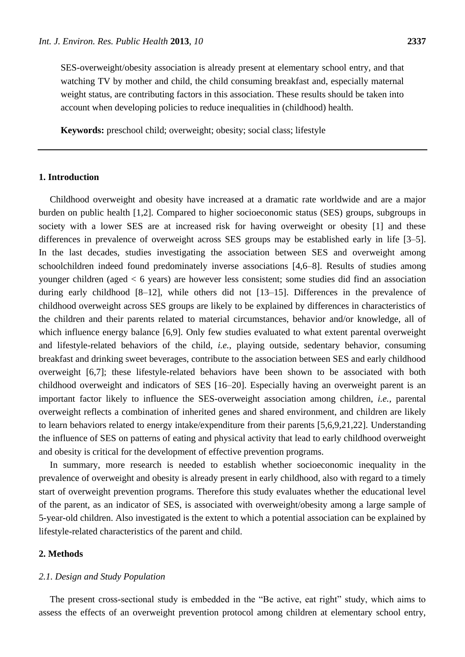SES-overweight/obesity association is already present at elementary school entry, and that watching TV by mother and child, the child consuming breakfast and, especially maternal weight status, are contributing factors in this association. These results should be taken into account when developing policies to reduce inequalities in (childhood) health.

**Keywords:** preschool child; overweight; obesity; social class; lifestyle

# **1. Introduction**

Childhood overweight and obesity have increased at a dramatic rate worldwide and are a major burden on public health [1,2]. Compared to higher socioeconomic status (SES) groups, subgroups in society with a lower SES are at increased risk for having overweight or obesity [1] and these differences in prevalence of overweight across SES groups may be established early in life [3–5]. In the last decades, studies investigating the association between SES and overweight among schoolchildren indeed found predominately inverse associations [4,6–8]. Results of studies among younger children (aged < 6 years) are however less consistent; some studies did find an association during early childhood [8–12], while others did not [13–15]. Differences in the prevalence of childhood overweight across SES groups are likely to be explained by differences in characteristics of the children and their parents related to material circumstances, behavior and/or knowledge, all of which influence energy balance [6,9]. Only few studies evaluated to what extent parental overweight and lifestyle-related behaviors of the child, *i.e.*, playing outside, sedentary behavior, consuming breakfast and drinking sweet beverages, contribute to the association between SES and early childhood overweight [6,7]; these lifestyle-related behaviors have been shown to be associated with both childhood overweight and indicators of SES [16–20]. Especially having an overweight parent is an important factor likely to influence the SES-overweight association among children, *i.e.*, parental overweight reflects a combination of inherited genes and shared environment, and children are likely to learn behaviors related to energy intake/expenditure from their parents [5,6,9,21,22]. Understanding the influence of SES on patterns of eating and physical activity that lead to early childhood overweight and obesity is critical for the development of effective prevention programs.

In summary, more research is needed to establish whether socioeconomic inequality in the prevalence of overweight and obesity is already present in early childhood, also with regard to a timely start of overweight prevention programs. Therefore this study evaluates whether the educational level of the parent, as an indicator of SES, is associated with overweight/obesity among a large sample of 5-year-old children. Also investigated is the extent to which a potential association can be explained by lifestyle-related characteristics of the parent and child.

#### **2. Methods**

## *2.1. Design and Study Population*

The present cross-sectional study is embedded in the "Be active, eat right" study, which aims to assess the effects of an overweight prevention protocol among children at elementary school entry,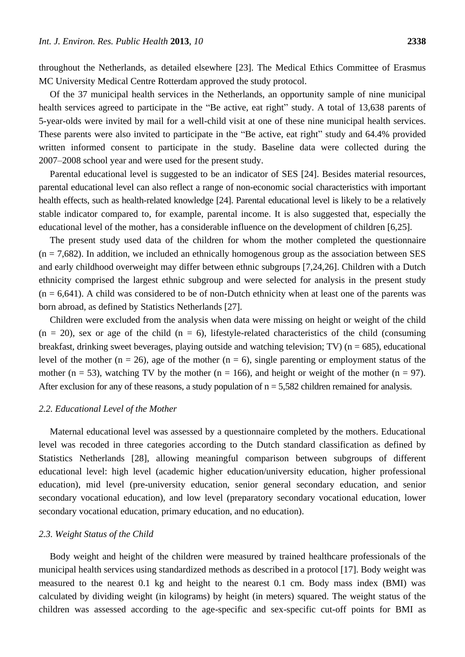throughout the Netherlands, as detailed elsewhere [23]. The Medical Ethics Committee of Erasmus MC University Medical Centre Rotterdam approved the study protocol.

Of the 37 municipal health services in the Netherlands, an opportunity sample of nine municipal health services agreed to participate in the "Be active, eat right" study. A total of 13,638 parents of 5-year-olds were invited by mail for a well-child visit at one of these nine municipal health services. These parents were also invited to participate in the "Be active, eat right" study and 64.4% provided written informed consent to participate in the study. Baseline data were collected during the 2007–2008 school year and were used for the present study.

Parental educational level is suggested to be an indicator of SES [24]. Besides material resources, parental educational level can also reflect a range of non-economic social characteristics with important health effects, such as health-related knowledge [24]. Parental educational level is likely to be a relatively stable indicator compared to, for example, parental income. It is also suggested that, especially the educational level of the mother, has a considerable influence on the development of children [6,25].

The present study used data of the children for whom the mother completed the questionnaire  $(n = 7,682)$ . In addition, we included an ethnically homogenous group as the association between SES and early childhood overweight may differ between ethnic subgroups [7,24,26]. Children with a Dutch ethnicity comprised the largest ethnic subgroup and were selected for analysis in the present study  $(n = 6,641)$ . A child was considered to be of non-Dutch ethnicity when at least one of the parents was born abroad, as defined by Statistics Netherlands [27].

Children were excluded from the analysis when data were missing on height or weight of the child  $(n = 20)$ , sex or age of the child  $(n = 6)$ , lifestyle-related characteristics of the child (consuming breakfast, drinking sweet beverages, playing outside and watching television; TV) ( $n = 685$ ), educational level of the mother (n = 26), age of the mother (n = 6), single parenting or employment status of the mother ( $n = 53$ ), watching TV by the mother ( $n = 166$ ), and height or weight of the mother ( $n = 97$ ). After exclusion for any of these reasons, a study population of  $n = 5,582$  children remained for analysis.

#### *2.2. Educational Level of the Mother*

Maternal educational level was assessed by a questionnaire completed by the mothers. Educational level was recoded in three categories according to the Dutch standard classification as defined by Statistics Netherlands [28], allowing meaningful comparison between subgroups of different educational level: high level (academic higher education/university education, higher professional education), mid level (pre-university education, senior general secondary education, and senior secondary vocational education), and low level (preparatory secondary vocational education, lower secondary vocational education, primary education, and no education).

## *2.3. Weight Status of the Child*

Body weight and height of the children were measured by trained healthcare professionals of the municipal health services using standardized methods as described in a protocol [17]. Body weight was measured to the nearest 0.1 kg and height to the nearest 0.1 cm. Body mass index (BMI) was calculated by dividing weight (in kilograms) by height (in meters) squared. The weight status of the children was assessed according to the age-specific and sex-specific cut-off points for BMI as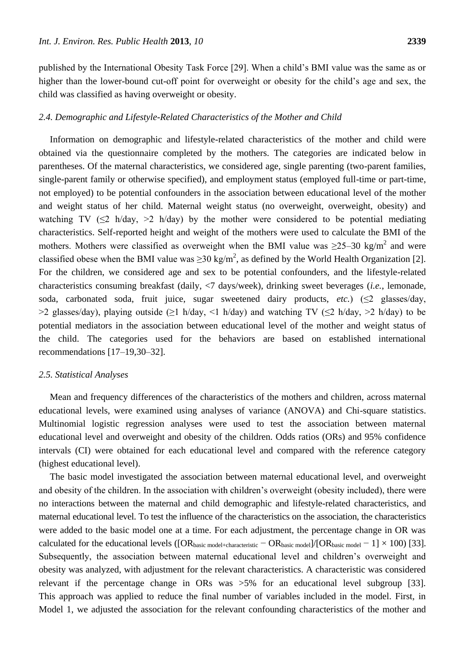published by the International Obesity Task Force [29]. When a child's BMI value was the same as or higher than the lower-bound cut-off point for overweight or obesity for the child's age and sex, the child was classified as having overweight or obesity.

# *2.4. Demographic and Lifestyle-Related Characteristics of the Mother and Child*

Information on demographic and lifestyle-related characteristics of the mother and child were obtained via the questionnaire completed by the mothers. The categories are indicated below in parentheses. Of the maternal characteristics, we considered age, single parenting (two-parent families, single-parent family or otherwise specified), and employment status (employed full-time or part-time, not employed) to be potential confounders in the association between educational level of the mother and weight status of her child. Maternal weight status (no overweight, overweight, obesity) and watching TV ( $\leq$ 2 h/day,  $>$ 2 h/day) by the mother were considered to be potential mediating characteristics. Self-reported height and weight of the mothers were used to calculate the BMI of the mothers. Mothers were classified as overweight when the BMI value was  $\geq 25-30$  kg/m<sup>2</sup> and were classified obese when the BMI value was  $\geq 30 \text{ kg/m}^2$ , as defined by the World Health Organization [2]. For the children, we considered age and sex to be potential confounders, and the lifestyle-related characteristics consuming breakfast (daily, <7 days/week), drinking sweet beverages (*i.e.*, lemonade, soda, carbonated soda, fruit juice, sugar sweetened dairy products,  $etc.$ ) ( $\leq$ 2 glasses/day,  $>2$  glasses/day), playing outside ( $\geq 1$  h/day,  $\leq 1$  h/day) and watching TV ( $\leq 2$  h/day,  $\geq 2$  h/day) to be potential mediators in the association between educational level of the mother and weight status of the child. The categories used for the behaviors are based on established international recommendations [17–19,30–32].

#### *2.5. Statistical Analyses*

Mean and frequency differences of the characteristics of the mothers and children, across maternal educational levels, were examined using analyses of variance (ANOVA) and Chi-square statistics. Multinomial logistic regression analyses were used to test the association between maternal educational level and overweight and obesity of the children. Odds ratios (ORs) and 95% confidence intervals (CI) were obtained for each educational level and compared with the reference category (highest educational level).

The basic model investigated the association between maternal educational level, and overweight and obesity of the children. In the association with children's overweight (obesity included), there were no interactions between the maternal and child demographic and lifestyle-related characteristics, and maternal educational level. To test the influence of the characteristics on the association, the characteristics were added to the basic model one at a time. For each adjustment, the percentage change in OR was calculated for the educational levels ( $[OR<sub>basic model+characteristic</sub> - OR<sub>basic model</sub>]/[OR<sub>basic model</sub> - 1] \times 100$ ) [33]. Subsequently, the association between maternal educational level and children's overweight and obesity was analyzed, with adjustment for the relevant characteristics. A characteristic was considered relevant if the percentage change in ORs was >5% for an educational level subgroup [33]. This approach was applied to reduce the final number of variables included in the model. First, in Model 1, we adjusted the association for the relevant confounding characteristics of the mother and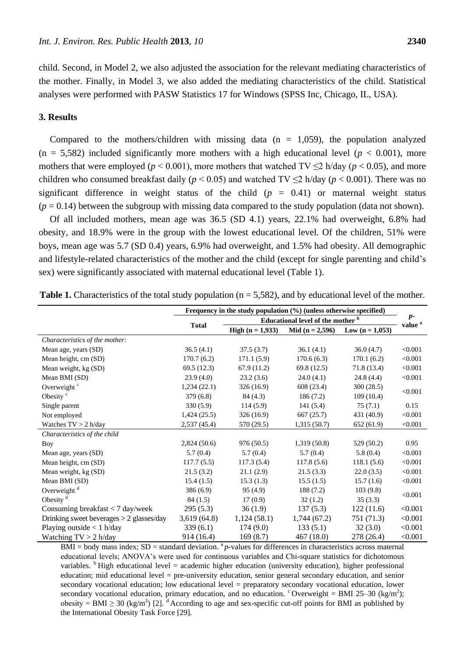child. Second, in Model 2, we also adjusted the association for the relevant mediating characteristics of the mother. Finally, in Model 3, we also added the mediating characteristics of the child. Statistical analyses were performed with PASW Statistics 17 for Windows (SPSS Inc, Chicago, IL, USA).

# **3. Results**

Compared to the mothers/children with missing data  $(n = 1,059)$ , the population analyzed  $(n = 5,582)$  included significantly more mothers with a high educational level  $(p < 0.001)$ , more mothers that were employed ( $p < 0.001$ ), more mothers that watched TV  $\leq$ 2 h/day ( $p < 0.05$ ), and more children who consumed breakfast daily ( $p < 0.05$ ) and watched TV  $\leq$ 2 h/day ( $p < 0.001$ ). There was no significant difference in weight status of the child  $(p = 0.41)$  or maternal weight status  $(p = 0.14)$  between the subgroup with missing data compared to the study population (data not shown).

Of all included mothers, mean age was 36.5 (SD 4.1) years, 22.1% had overweight, 6.8% had obesity, and 18.9% were in the group with the lowest educational level. Of the children, 51% were boys, mean age was 5.7 (SD 0.4) years, 6.9% had overweight, and 1.5% had obesity. All demographic and lifestyle-related characteristics of the mother and the child (except for single parenting and child's sex) were significantly associated with maternal educational level (Table 1).

|                                            | Frequency in the study population (%) (unless otherwise specified) |                           |                     |                   | $p-$               |  |
|--------------------------------------------|--------------------------------------------------------------------|---------------------------|---------------------|-------------------|--------------------|--|
|                                            | Educational level of the mother b                                  |                           |                     |                   |                    |  |
|                                            | <b>Total</b>                                                       | <b>High</b> $(n = 1,933)$ | Mid ( $n = 2,596$ ) | Low $(n = 1,053)$ | value <sup>a</sup> |  |
| Characteristics of the mother:             |                                                                    |                           |                     |                   |                    |  |
| Mean age, years (SD)                       | 36.5(4.1)                                                          | 37.5(3.7)                 | 36.1(4.1)           | 36.0(4.7)         | < 0.001            |  |
| Mean height, cm (SD)                       | 170.7(6.2)                                                         | 171.1(5.9)                | 170.6(6.3)          | 170.1(6.2)        | < 0.001            |  |
| Mean weight, kg (SD)                       | 69.5(12.3)                                                         | 67.9(11.2)                | 69.8(12.5)          | 71.8 (13.4)       | < 0.001            |  |
| Mean BMI (SD)                              | 23.9(4.0)                                                          | 23.2(3.6)                 | 24.0(4.1)           | 24.8(4.4)         | < 0.001            |  |
| Overweight <sup>c</sup>                    | 1,234(22.1)                                                        | 326(16.9)                 | 608 (23.4)          | 300(28.5)         | < 0.001            |  |
| Obesity <sup>c</sup>                       | 379(6.8)                                                           | 84(4.3)                   | 186(7.2)            | 109(10.4)         |                    |  |
| Single parent                              | 330(5.9)                                                           | 114(5.9)                  | 141(5.4)            | 75(7.1)           | 0.15               |  |
| Not employed                               | 1,424(25.5)                                                        | 326 (16.9)                | 667(25.7)           | 431 (40.9)        | < 0.001            |  |
| Watches $TV > 2$ h/day                     | 2,537 (45.4)                                                       | 570 (29.5)                | 1,315(50.7)         | 652(61.9)         | < 0.001            |  |
| Characteristics of the child               |                                                                    |                           |                     |                   |                    |  |
| Boy                                        | 2,824(50.6)                                                        | 976 (50.5)                | 1,319(50.8)         | 529 (50.2)        | 0.95               |  |
| Mean age, years (SD)                       | 5.7(0.4)                                                           | 5.7(0.4)                  | 5.7(0.4)            | 5.8(0.4)          | < 0.001            |  |
| Mean height, cm (SD)                       | 117.7(5.5)                                                         | 117.3(5.4)                | 117.8(5.6)          | 118.1(5.6)        | < 0.001            |  |
| Mean weight, kg (SD)                       | 21.5(3.2)                                                          | 21.1(2.9)                 | 21.5(3.3)           | 22.0(3.5)         | < 0.001            |  |
| Mean BMI (SD)                              | 15.4(1.5)                                                          | 15.3(1.3)                 | 15.5(1.5)           | 15.7(1.6)         | < 0.001            |  |
| Overweight <sup>d</sup>                    | 386(6.9)                                                           | 95(4.9)                   | 188 (7.2)           | 103(9.8)          |                    |  |
| Obesity <sup>d</sup>                       | 84(1.5)                                                            | 17(0.9)                   | 32(1.2)             | 35(3.3)           | < 0.001            |  |
| Consuming breakfast $<$ 7 day/week         | 295(5.3)                                                           | 36(1.9)                   | 137(5.3)            | 122(11.6)         | < 0.001            |  |
| Drinking sweet beverages $> 2$ glasses/day | 3,619(64.8)                                                        | 1,124(58.1)               | 1,744(67.2)         | 751 (71.3)        | < 0.001            |  |
| Playing outside $< 1$ h/day                | 339(6.1)                                                           | 174(9.0)                  | 133(5.1)            | 32(3.0)           | < 0.001            |  |
| Watching $TV > 2$ h/day                    | 914 (16.4)                                                         | 169(8.7)                  | 467 (18.0)          | 278 (26.4)        | < 0.001            |  |

**Table 1.** Characteristics of the total study population  $(n = 5.582)$ , and by educational level of the mother.

 $BMI = body$  mass index;  $SD = standard deviation$ .  $^{a}p$ -values for differences in characteristics across maternal educational levels; ANOVA's were used for continuous variables and Chi-square statistics for dichotomous variables.  $\text{h}_{\text{High}}$  educational level = academic higher education (university education), higher professional education; mid educational level = pre-university education, senior general secondary education, and senior secondary vocational education; low educational level = preparatory secondary vocational education, lower secondary vocational education, primary education, and no education. Coverweight = BMI 25-30 (kg/m<sup>2</sup>); obesity = BMI  $\geq$  30 (kg/m<sup>2</sup>) [2]. <sup>d</sup> According to age and sex-specific cut-off points for BMI as published by the International Obesity Task Force [29].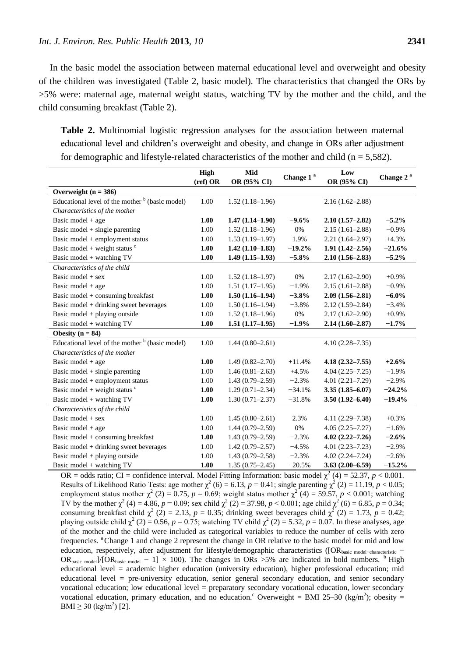In the basic model the association between maternal educational level and overweight and obesity of the children was investigated (Table 2, basic model). The characteristics that changed the ORs by >5% were: maternal age, maternal weight status, watching TV by the mother and the child, and the child consuming breakfast (Table 2).

**Table 2.** Multinomial logistic regression analyses for the association between maternal educational level and children's overweight and obesity, and change in ORs after adjustment for demographic and lifestyle-related characteristics of the mother and child ( $n = 5,582$ ).

|                                                   | <b>High</b> | Mid                 | Change 1 <sup>a</sup> | Low                 | Change 2 <sup>a</sup> |
|---------------------------------------------------|-------------|---------------------|-----------------------|---------------------|-----------------------|
|                                                   | $(ref)$ OR  | OR (95% CI)         |                       | OR (95% CI)         |                       |
| Overweight $(n = 386)$                            |             |                     |                       |                     |                       |
| Educational level of the mother $b$ (basic model) | 1.00        | $1.52(1.18-1.96)$   |                       | $2.16(1.62 - 2.88)$ |                       |
| Characteristics of the mother                     |             |                     |                       |                     |                       |
| Basic model $+$ age                               | 1.00        | $1.47(1.14 - 1.90)$ | $-9.6%$               | $2.10(1.57-2.82)$   | $-5.2%$               |
| Basic model $+$ single parenting                  | 1.00        | $1.52(1.18-1.96)$   | 0%                    | $2.15(1.61 - 2.88)$ | $-0.9%$               |
| Basic model + employment status                   | 1.00        | $1.53(1.19-1.97)$   | 1.9%                  | $2.21(1.64 - 2.97)$ | $+4.3%$               |
| Basic model + weight status $\degree$             | 1.00        | $1.42(1.10-1.83)$   | $-19.2%$              | $1.91(1.42 - 2.56)$ | $-21.6%$              |
| Basic model + watching TV                         | 1.00        | $1.49(1.15-1.93)$   | $-5.8\%$              | $2.10(1.56 - 2.83)$ | $-5.2\%$              |
| Characteristics of the child                      |             |                     |                       |                     |                       |
| Basic model $+$ sex                               | 1.00        | $1.52(1.18-1.97)$   | 0%                    | $2.17(1.62 - 2.90)$ | $+0.9%$               |
| Basic model $+$ age                               | 1.00        | $1.51(1.17-1.95)$   | $-1.9%$               | $2.15(1.61 - 2.88)$ | $-0.9%$               |
| Basic model + consuming breakfast                 | 1.00        | $1.50(1.16-1.94)$   | $-3.8%$               | $2.09(1.56 - 2.81)$ | $-6.0\%$              |
| Basic model $+$ drinking sweet beverages          | 1.00        | $1.50(1.16-1.94)$   | $-3.8%$               | $2.12(1.59 - 2.84)$ | $-3.4%$               |
| Basic model + playing outside                     | 1.00        | $1.52(1.18-1.96)$   | $0\%$                 | $2.17(1.62 - 2.90)$ | $+0.9%$               |
| Basic model + watching TV                         | 1.00        | $1.51(1.17-1.95)$   | $-1.9\%$              | $2.14(1.60 - 2.87)$ | $-1.7%$               |
| Obesity $(n = 84)$                                |             |                     |                       |                     |                       |
| Educational level of the mother $b$ (basic model) | 1.00        | $1.44(0.80 - 2.61)$ |                       | $4.10(2.28 - 7.35)$ |                       |
| Characteristics of the mother                     |             |                     |                       |                     |                       |
| Basic model + $age$                               | 1.00        | $1.49(0.82 - 2.70)$ | $+11.4%$              | $4.18(2.32 - 7.55)$ | $+2.6%$               |
| Basic model + single parenting                    | 1.00        | $1.46(0.81 - 2.63)$ | $+4.5%$               | $4.04(2.25 - 7.25)$ | $-1.9%$               |
| Basic model + employment status                   | 1.00        | $1.43(0.79-2.59)$   | $-2.3%$               | $4.01(2.21 - 7.29)$ | $-2.9%$               |
| Basic model + weight status $\degree$             | 1.00        | $1.29(0.71 - 2.34)$ | $-34.1%$              | $3.35(1.85 - 6.07)$ | $-24.2%$              |
| Basic model + watching TV                         | 1.00        | $1.30(0.71 - 2.37)$ | $-31.8%$              | $3.50(1.92 - 6.40)$ | $-19.4%$              |
| Characteristics of the child                      |             |                     |                       |                     |                       |
| Basic model $+$ sex                               | 1.00        | $1.45(0.80-2.61)$   | 2.3%                  | $4.11(2.29 - 7.38)$ | $+0.3%$               |
| Basic model $+$ age                               | 1.00        | $1.44(0.79-2.59)$   | 0%                    | $4.05(2.25 - 7.27)$ | $-1.6%$               |
| Basic model + consuming breakfast                 | 1.00        | $1.43(0.79 - 2.59)$ | $-2.3%$               | $4.02(2.22 - 7.26)$ | $-2.6%$               |
| Basic model + drinking sweet beverages            | 1.00        | $1.42(0.79 - 2.57)$ | $-4.5%$               | $4.01(2.23 - 7.23)$ | $-2.9%$               |
| Basic model + playing outside                     | 1.00        | $1.43(0.79 - 2.58)$ | $-2.3%$               | $4.02(2.24 - 7.24)$ | $-2.6%$               |
| Basic model + watching TV                         | 1.00        | $1.35(0.75 - 2.45)$ | $-20.5%$              | $3.63(2.00-6.59)$   | $-15.2%$              |

OR = odds ratio; CI = confidence interval. Model Fitting Information: basic model  $\chi^2$  (4) = 52.37, *p* < 0.001. Results of Likelihood Ratio Tests: age mother  $\chi^2$  (6) = 6.13, *p* = 0.41; single parenting  $\chi^2$  (2) = 11.19, *p* < 0.05; employment status mother  $\chi^2$  (2) = 0.75, *p* = 0.69; weight status mother  $\chi^2$  (4) = 59.57, *p* < 0.001; watching TV by the mother  $\chi^2$  (4) = 4.86, *p* = 0.09; sex child  $\chi^2$  (2) = 37.98, *p* < 0.001; age child  $\chi^2$  (6) = 6.85, *p* = 0.34; consuming breakfast child  $\chi^2$  (2) = 2.13, *p* = 0.35; drinking sweet beverages child  $\chi^2$  (2) = 1.73, *p* = 0.42; playing outside child  $\chi^2$  (2) = 0.56, *p* = 0.75; watching TV child  $\chi^2$  (2) = 5.32, *p* = 0.07. In these analyses, age of the mother and the child were included as categorical variables to reduce the number of cells with zero frequencies. <sup>a</sup>Change 1 and change 2 represent the change in OR relative to the basic model for mid and low education, respectively, after adjustment for lifestyle/demographic characteristics ([OR<sub>basic model+characteristic</sub> −  $OR_{\text{basic model}}$  /[OR<sub>basic model</sub> - 1] × 100). The changes in ORs >5% are indicated in bold numbers. <sup>b</sup> High educational level = academic higher education (university education), higher professional education; mid educational level = pre-university education, senior general secondary education, and senior secondary vocational education; low educational level = preparatory secondary vocational education, lower secondary vocational education, primary education, and no education.<sup>c</sup> Overweight = BMI 25–30 (kg/m<sup>2</sup>); obesity = BMI  $\geq 30$  (kg/m<sup>2</sup>) [2].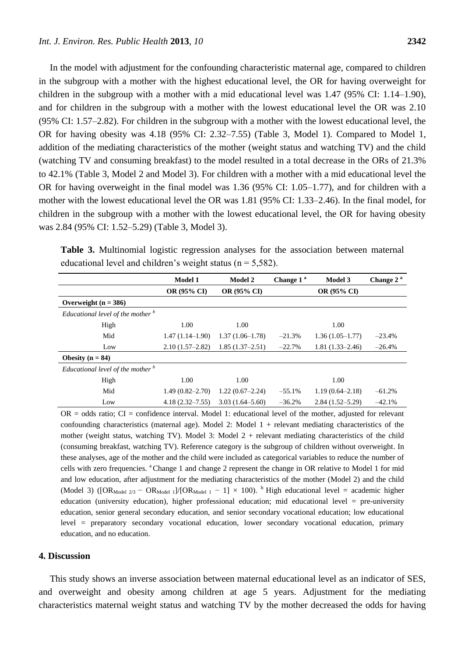In the model with adjustment for the confounding characteristic maternal age, compared to children in the subgroup with a mother with the highest educational level, the OR for having overweight for children in the subgroup with a mother with a mid educational level was 1.47 (95% CI: 1.14–1.90), and for children in the subgroup with a mother with the lowest educational level the OR was 2.10 (95% CI: 1.57–2.82). For children in the subgroup with a mother with the lowest educational level, the OR for having obesity was 4.18 (95% CI: 2.32–7.55) (Table 3, Model 1). Compared to Model 1, addition of the mediating characteristics of the mother (weight status and watching TV) and the child (watching TV and consuming breakfast) to the model resulted in a total decrease in the ORs of 21.3% to 42.1% (Table 3, Model 2 and Model 3). For children with a mother with a mid educational level the OR for having overweight in the final model was 1.36 (95% CI: 1.05–1.77), and for children with a mother with the lowest educational level the OR was 1.81 (95% CI: 1.33–2.46). In the final model, for children in the subgroup with a mother with the lowest educational level, the OR for having obesity was 2.84 (95% CI: 1.52–5.29) (Table 3, Model 3).

| equeational level and children s weight status $(11 - 3382)$ . |                     |                    |                       |                     |                       |  |  |
|----------------------------------------------------------------|---------------------|--------------------|-----------------------|---------------------|-----------------------|--|--|
|                                                                | <b>Model 1</b>      | <b>Model 2</b>     | Change 1 <sup>a</sup> | Model 3             | Change 2 <sup>a</sup> |  |  |
|                                                                | <b>OR (95% CI)</b>  | <b>OR (95% CI)</b> |                       | <b>OR (95% CI)</b>  |                       |  |  |
| Overweight $(n = 386)$                                         |                     |                    |                       |                     |                       |  |  |
| Educational level of the mother <sup>b</sup>                   |                     |                    |                       |                     |                       |  |  |
| High                                                           | 1.00                | 1.00               |                       | 1.00                |                       |  |  |
| Mid                                                            | $1.47(1.14-1.90)$   | $1.37(1.06-1.78)$  | $-21.3%$              | $1.36(1.05-1.77)$   | $-23.4%$              |  |  |
| Low                                                            | $2.10(1.57-2.82)$   | $1.85(1.37-2.51)$  | $-22.7%$              | $1.81(1.33 - 2.46)$ | $-26.4%$              |  |  |
| Obesity $(n = 84)$                                             |                     |                    |                       |                     |                       |  |  |
| Educational level of the mother <sup>b</sup>                   |                     |                    |                       |                     |                       |  |  |
| High                                                           | 1.00                | 1.00               |                       | 1.00                |                       |  |  |
| Mid                                                            | $1.49(0.82 - 2.70)$ | $1.22(0.67-2.24)$  | $-55.1%$              | $1.19(0.64 - 2.18)$ | $-61.2%$              |  |  |

**Table 3.** Multinomial logistic regression analyses for the association between maternal educational level and children's weight status ( $n = 5,582$ ).

 $OR = odds$  ratio;  $CI = confidence$  interval. Model 1: educational level of the mother, adjusted for relevant confounding characteristics (maternal age). Model 2: Model  $1 +$  relevant mediating characteristics of the mother (weight status, watching TV). Model 3: Model  $2 +$  relevant mediating characteristics of the child (consuming breakfast, watching TV). Reference category is the subgroup of children without overweight. In these analyses, age of the mother and the child were included as categorical variables to reduce the number of cells with zero frequencies. <sup>a</sup>Change 1 and change 2 represent the change in OR relative to Model 1 for mid and low education, after adjustment for the mediating characteristics of the mother (Model 2) and the child (Model 3) ([OR<sub>Model 2/3</sub> – OR<sub>Model 1</sub>]/[OR<sub>Model 1</sub> – 1] × 100). <sup>b</sup> High educational level = academic higher education (university education), higher professional education; mid educational level = pre-university education, senior general secondary education, and senior secondary vocational education; low educational level = preparatory secondary vocational education, lower secondary vocational education, primary education, and no education.

Low 4.18 (2.32–7.55)  $3.03 \times (1.64-5.60)$   $-36.2\%$   $2.84 \times (1.52-5.29)$   $-42.1\%$ 

#### **4. Discussion**

This study shows an inverse association between maternal educational level as an indicator of SES, and overweight and obesity among children at age 5 years. Adjustment for the mediating characteristics maternal weight status and watching TV by the mother decreased the odds for having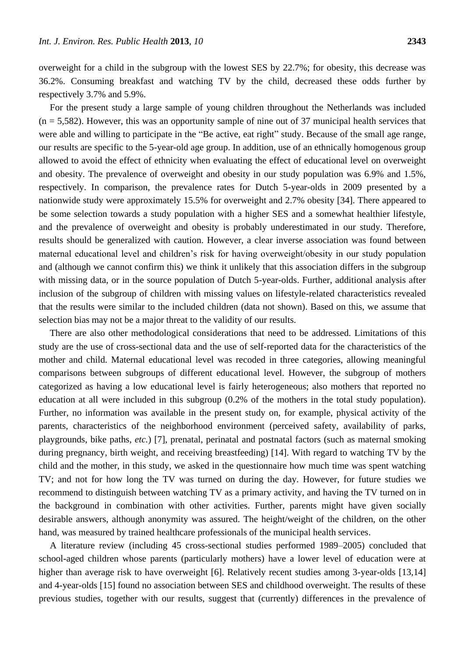overweight for a child in the subgroup with the lowest SES by 22.7%; for obesity, this decrease was 36.2%. Consuming breakfast and watching TV by the child, decreased these odds further by respectively 3.7% and 5.9%.

For the present study a large sample of young children throughout the Netherlands was included  $(n = 5,582)$ . However, this was an opportunity sample of nine out of 37 municipal health services that were able and willing to participate in the "Be active, eat right" study. Because of the small age range, our results are specific to the 5-year-old age group. In addition, use of an ethnically homogenous group allowed to avoid the effect of ethnicity when evaluating the effect of educational level on overweight and obesity. The prevalence of overweight and obesity in our study population was 6.9% and 1.5%, respectively. In comparison, the prevalence rates for Dutch 5-year-olds in 2009 presented by a nationwide study were approximately 15.5% for overweight and 2.7% obesity [34]. There appeared to be some selection towards a study population with a higher SES and a somewhat healthier lifestyle, and the prevalence of overweight and obesity is probably underestimated in our study. Therefore, results should be generalized with caution. However, a clear inverse association was found between maternal educational level and children's risk for having overweight/obesity in our study population and (although we cannot confirm this) we think it unlikely that this association differs in the subgroup with missing data, or in the source population of Dutch 5-year-olds. Further, additional analysis after inclusion of the subgroup of children with missing values on lifestyle-related characteristics revealed that the results were similar to the included children (data not shown). Based on this, we assume that selection bias may not be a major threat to the validity of our results.

There are also other methodological considerations that need to be addressed. Limitations of this study are the use of cross-sectional data and the use of self-reported data for the characteristics of the mother and child. Maternal educational level was recoded in three categories, allowing meaningful comparisons between subgroups of different educational level. However, the subgroup of mothers categorized as having a low educational level is fairly heterogeneous; also mothers that reported no education at all were included in this subgroup (0.2% of the mothers in the total study population). Further, no information was available in the present study on, for example, physical activity of the parents, characteristics of the neighborhood environment (perceived safety, availability of parks, playgrounds, bike paths, *etc.*) [7], prenatal, perinatal and postnatal factors (such as maternal smoking during pregnancy, birth weight, and receiving breastfeeding) [14]. With regard to watching TV by the child and the mother, in this study, we asked in the questionnaire how much time was spent watching TV; and not for how long the TV was turned on during the day. However, for future studies we recommend to distinguish between watching TV as a primary activity, and having the TV turned on in the background in combination with other activities. Further, parents might have given socially desirable answers, although anonymity was assured. The height/weight of the children, on the other hand, was measured by trained healthcare professionals of the municipal health services.

A literature review (including 45 cross-sectional studies performed 1989–2005) concluded that school-aged children whose parents (particularly mothers) have a lower level of education were at higher than average risk to have overweight [6]. Relatively recent studies among 3-year-olds [13,14] and 4-year-olds [15] found no association between SES and childhood overweight. The results of these previous studies, together with our results, suggest that (currently) differences in the prevalence of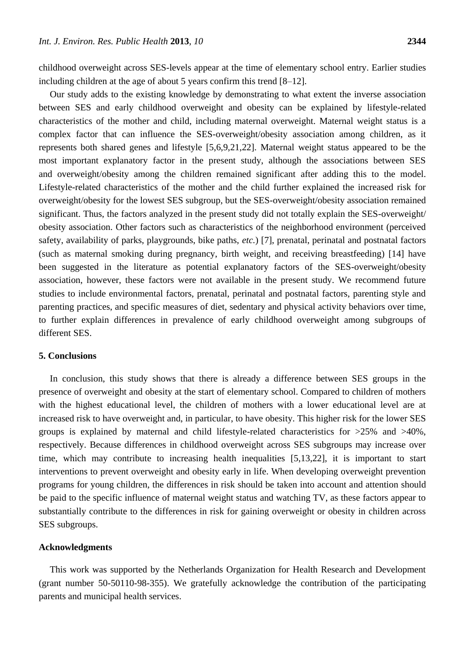childhood overweight across SES-levels appear at the time of elementary school entry. Earlier studies including children at the age of about 5 years confirm this trend [8–12].

Our study adds to the existing knowledge by demonstrating to what extent the inverse association between SES and early childhood overweight and obesity can be explained by lifestyle-related characteristics of the mother and child, including maternal overweight. Maternal weight status is a complex factor that can influence the SES-overweight/obesity association among children, as it represents both shared genes and lifestyle [5,6,9,21,22]. Maternal weight status appeared to be the most important explanatory factor in the present study, although the associations between SES and overweight/obesity among the children remained significant after adding this to the model. Lifestyle-related characteristics of the mother and the child further explained the increased risk for overweight/obesity for the lowest SES subgroup, but the SES-overweight/obesity association remained significant. Thus, the factors analyzed in the present study did not totally explain the SES-overweight/ obesity association. Other factors such as characteristics of the neighborhood environment (perceived safety, availability of parks, playgrounds, bike paths, *etc.*) [7], prenatal, perinatal and postnatal factors (such as maternal smoking during pregnancy, birth weight, and receiving breastfeeding) [14] have been suggested in the literature as potential explanatory factors of the SES-overweight/obesity association, however, these factors were not available in the present study. We recommend future studies to include environmental factors, prenatal, perinatal and postnatal factors, parenting style and parenting practices, and specific measures of diet, sedentary and physical activity behaviors over time, to further explain differences in prevalence of early childhood overweight among subgroups of different SES.

## **5. Conclusions**

In conclusion, this study shows that there is already a difference between SES groups in the presence of overweight and obesity at the start of elementary school. Compared to children of mothers with the highest educational level, the children of mothers with a lower educational level are at increased risk to have overweight and, in particular, to have obesity. This higher risk for the lower SES groups is explained by maternal and child lifestyle-related characteristics for  $>25\%$  and  $>40\%$ , respectively. Because differences in childhood overweight across SES subgroups may increase over time, which may contribute to increasing health inequalities [5,13,22], it is important to start interventions to prevent overweight and obesity early in life. When developing overweight prevention programs for young children, the differences in risk should be taken into account and attention should be paid to the specific influence of maternal weight status and watching TV, as these factors appear to substantially contribute to the differences in risk for gaining overweight or obesity in children across SES subgroups.

#### **Acknowledgments**

This work was supported by the Netherlands Organization for Health Research and Development (grant number 50-50110-98-355). We gratefully acknowledge the contribution of the participating parents and municipal health services.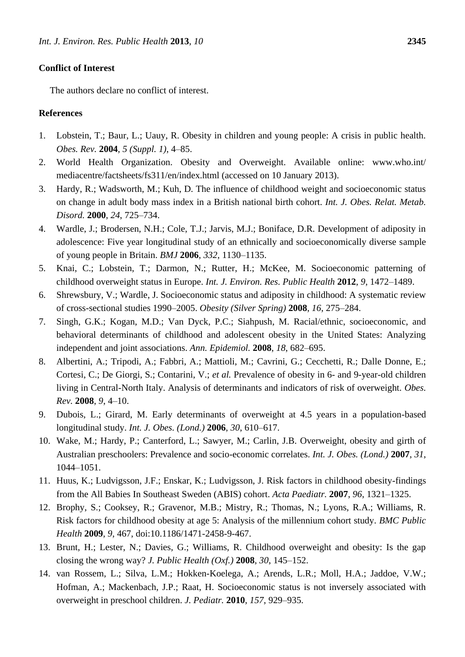## **Conflict of Interest**

The authors declare no conflict of interest.

#### **References**

- 1. Lobstein, T.; Baur, L.; Uauy, R. Obesity in children and young people: A crisis in public health. *Obes. Rev.* **2004**, *5 (Suppl. 1)*, 4–85.
- 2. World Health Organization. Obesity and Overweight. Available online: www.who.int/ mediacentre/factsheets/fs311/en/index.html (accessed on 10 January 2013).
- 3. Hardy, R.; Wadsworth, M.; Kuh, D. The influence of childhood weight and socioeconomic status on change in adult body mass index in a British national birth cohort. *Int. J. Obes. Relat. Metab. Disord.* **2000**, *24*, 725–734.
- 4. Wardle, J.; Brodersen, N.H.; Cole, T.J.; Jarvis, M.J.; Boniface, D.R. Development of adiposity in adolescence: Five year longitudinal study of an ethnically and socioeconomically diverse sample of young people in Britain. *BMJ* **2006**, *332*, 1130–1135.
- 5. Knai, C.; Lobstein, T.; Darmon, N.; Rutter, H.; McKee, M. Socioeconomic patterning of childhood overweight status in Europe. *Int. J. Environ. Res. Public Health* **2012**, *9*, 1472–1489.
- 6. Shrewsbury, V.; Wardle, J. Socioeconomic status and adiposity in childhood: A systematic review of cross-sectional studies 1990–2005. *Obesity (Silver Spring)* **2008**, *16*, 275–284.
- 7. Singh, G.K.; Kogan, M.D.; Van Dyck, P.C.; Siahpush, M. Racial/ethnic, socioeconomic, and behavioral determinants of childhood and adolescent obesity in the United States: Analyzing independent and joint associations. *Ann. Epidemiol.* **2008**, *18*, 682–695.
- 8. Albertini, A.; Tripodi, A.; Fabbri, A.; Mattioli, M.; Cavrini, G.; Cecchetti, R.; Dalle Donne, E.; Cortesi, C.; De Giorgi, S.; Contarini, V.; *et al.* Prevalence of obesity in 6- and 9-year-old children living in Central-North Italy. Analysis of determinants and indicators of risk of overweight. *Obes. Rev.* **2008**, *9*, 4–10.
- 9. Dubois, L.; Girard, M. Early determinants of overweight at 4.5 years in a population-based longitudinal study. *Int. J. Obes. (Lond.)* **2006**, *30*, 610–617.
- 10. Wake, M.; Hardy, P.; Canterford, L.; Sawyer, M.; Carlin, J.B. Overweight, obesity and girth of Australian preschoolers: Prevalence and socio-economic correlates. *Int. J. Obes. (Lond.)* **2007**, *31*, 1044–1051.
- 11. Huus, K.; Ludvigsson, J.F.; Enskar, K.; Ludvigsson, J. Risk factors in childhood obesity-findings from the All Babies In Southeast Sweden (ABIS) cohort. *Acta Paediatr.* **2007**, *96*, 1321–1325.
- 12. Brophy, S.; Cooksey, R.; Gravenor, M.B.; Mistry, R.; Thomas, N.; Lyons, R.A.; Williams, R. Risk factors for childhood obesity at age 5: Analysis of the millennium cohort study. *BMC Public Health* **2009**, *9*, 467, doi:10.1186/1471-2458-9-467.
- 13. Brunt, H.; Lester, N.; Davies, G.; Williams, R. Childhood overweight and obesity: Is the gap closing the wrong way? *J. Public Health (Oxf.)* **2008**, *30*, 145–152.
- 14. van Rossem, L.; Silva, L.M.; Hokken-Koelega, A.; Arends, L.R.; Moll, H.A.; Jaddoe, V.W.; Hofman, A.; Mackenbach, J.P.; Raat, H. Socioeconomic status is not inversely associated with overweight in preschool children. *J. Pediatr.* **2010**, *157*, 929–935.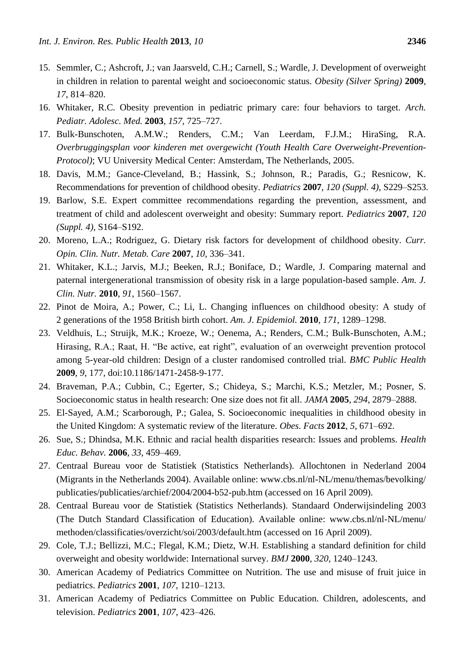- 15. Semmler, C.; Ashcroft, J.; van Jaarsveld, C.H.; Carnell, S.; Wardle, J. Development of overweight in children in relation to parental weight and socioeconomic status. *Obesity (Silver Spring)* **2009**, *17*, 814–820.
- 16. Whitaker, R.C. Obesity prevention in pediatric primary care: four behaviors to target. *Arch. Pediatr. Adolesc. Med.* **2003**, *157*, 725–727.
- 17. Bulk-Bunschoten, A.M.W.; Renders, C.M.; Van Leerdam, F.J.M.; HiraSing, R.A. *Overbruggingsplan voor kinderen met overgewicht (Youth Health Care Overweight-Prevention-Protocol)*; VU University Medical Center: Amsterdam, The Netherlands, 2005.
- 18. Davis, M.M.; Gance-Cleveland, B.; Hassink, S.; Johnson, R.; Paradis, G.; Resnicow, K. Recommendations for prevention of childhood obesity. *Pediatrics* **2007**, *120 (Suppl. 4)*, S229–S253.
- 19. Barlow, S.E. Expert committee recommendations regarding the prevention, assessment, and treatment of child and adolescent overweight and obesity: Summary report. *Pediatrics* **2007**, *120 (Suppl. 4)*, S164–S192.
- 20. Moreno, L.A.; Rodriguez, G. Dietary risk factors for development of childhood obesity. *Curr. Opin. Clin. Nutr. Metab. Care* **2007**, *10*, 336–341.
- 21. Whitaker, K.L.; Jarvis, M.J.; Beeken, R.J.; Boniface, D.; Wardle, J. Comparing maternal and paternal intergenerational transmission of obesity risk in a large population-based sample. *Am. J. Clin. Nutr.* **2010**, *91*, 1560–1567.
- 22. Pinot de Moira, A.; Power, C.; Li, L. Changing influences on childhood obesity: A study of 2 generations of the 1958 British birth cohort. *Am. J. Epidemiol.* **2010**, *171*, 1289–1298.
- 23. Veldhuis, L.; Struijk, M.K.; Kroeze, W.; Oenema, A.; Renders, C.M.; Bulk-Bunschoten, A.M.; Hirasing, R.A.; Raat, H. "Be active, eat right", evaluation of an overweight prevention protocol among 5-year-old children: Design of a cluster randomised controlled trial. *BMC Public Health*  **2009**, *9*, 177, doi:10.1186/1471-2458-9-177.
- 24. Braveman, P.A.; Cubbin, C.; Egerter, S.; Chideya, S.; Marchi, K.S.; Metzler, M.; Posner, S. Socioeconomic status in health research: One size does not fit all. *JAMA* **2005**, *294*, 2879–2888.
- 25. El-Sayed, A.M.; Scarborough, P.; Galea, S. Socioeconomic inequalities in childhood obesity in the United Kingdom: A systematic review of the literature. *Obes. Facts* **2012**, *5*, 671–692.
- 26. Sue, S.; Dhindsa, M.K. Ethnic and racial health disparities research: Issues and problems. *Health Educ. Behav.* **2006**, *33*, 459–469.
- 27. Centraal Bureau voor de Statistiek (Statistics Netherlands). Allochtonen in Nederland 2004 (Migrants in the Netherlands 2004). Available online: www.cbs.nl/nl-NL/menu/themas/bevolking/ publicaties/publicaties/archief/2004/2004-b52-pub.htm (accessed on 16 April 2009).
- 28. Centraal Bureau voor de Statistiek (Statistics Netherlands). Standaard Onderwijsindeling 2003 (The Dutch Standard Classification of Education). Available online: www.cbs.nl/nl-NL/menu/ methoden/classificaties/overzicht/soi/2003/default.htm (accessed on 16 April 2009).
- 29. Cole, T.J.; Bellizzi, M.C.; Flegal, K.M.; Dietz, W.H. Establishing a standard definition for child overweight and obesity worldwide: International survey. *BMJ* **2000**, *320*, 1240–1243.
- 30. American Academy of Pediatrics Committee on Nutrition. The use and misuse of fruit juice in pediatrics. *Pediatrics* **2001**, *107*, 1210–1213.
- 31. American Academy of Pediatrics Committee on Public Education. Children, adolescents, and television. *Pediatrics* **2001**, *107*, 423–426.